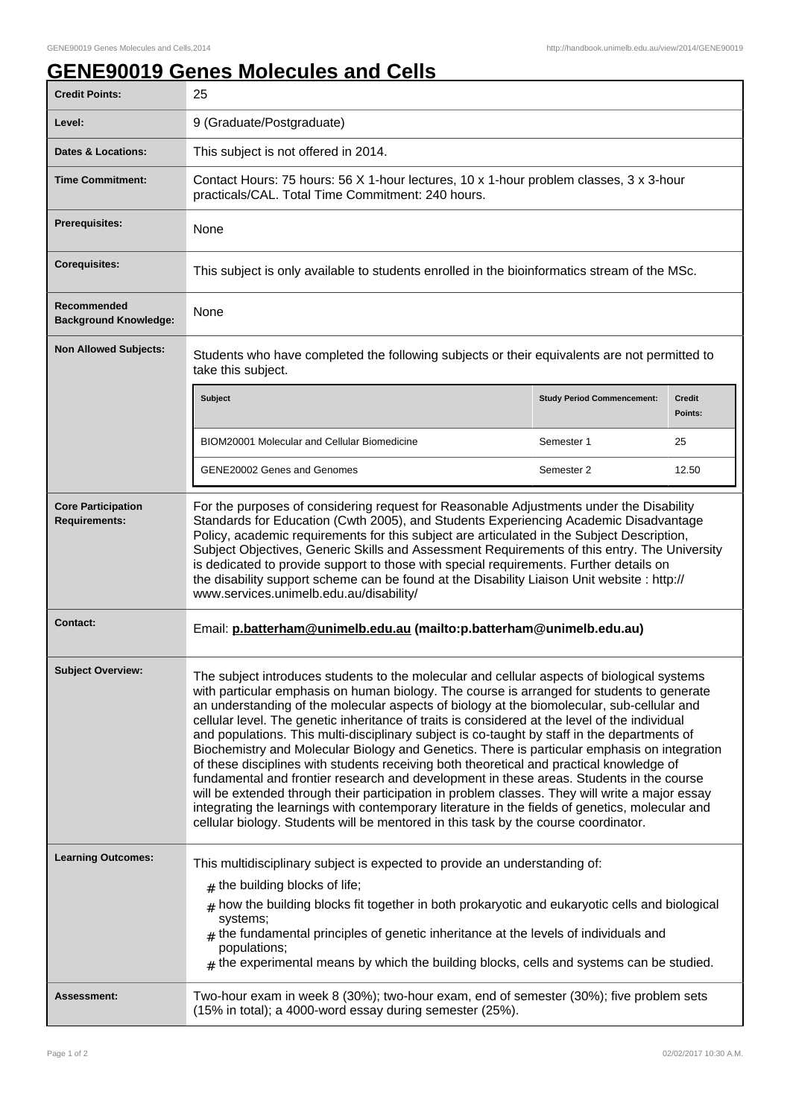## **GENE90019 Genes Molecules and Cells**

| <b>Credit Points:</b>                             | 25                                                                                                                                                                                                                                                                                                                                                                                                                                                                                                                                                                                                                                                                                                                                                                                                                                                                                                                                                                                                                                                                            |                                   |                          |
|---------------------------------------------------|-------------------------------------------------------------------------------------------------------------------------------------------------------------------------------------------------------------------------------------------------------------------------------------------------------------------------------------------------------------------------------------------------------------------------------------------------------------------------------------------------------------------------------------------------------------------------------------------------------------------------------------------------------------------------------------------------------------------------------------------------------------------------------------------------------------------------------------------------------------------------------------------------------------------------------------------------------------------------------------------------------------------------------------------------------------------------------|-----------------------------------|--------------------------|
| Level:                                            | 9 (Graduate/Postgraduate)                                                                                                                                                                                                                                                                                                                                                                                                                                                                                                                                                                                                                                                                                                                                                                                                                                                                                                                                                                                                                                                     |                                   |                          |
| <b>Dates &amp; Locations:</b>                     | This subject is not offered in 2014.                                                                                                                                                                                                                                                                                                                                                                                                                                                                                                                                                                                                                                                                                                                                                                                                                                                                                                                                                                                                                                          |                                   |                          |
| <b>Time Commitment:</b>                           | Contact Hours: 75 hours: 56 X 1-hour lectures, 10 x 1-hour problem classes, 3 x 3-hour<br>practicals/CAL. Total Time Commitment: 240 hours.                                                                                                                                                                                                                                                                                                                                                                                                                                                                                                                                                                                                                                                                                                                                                                                                                                                                                                                                   |                                   |                          |
| <b>Prerequisites:</b>                             | None                                                                                                                                                                                                                                                                                                                                                                                                                                                                                                                                                                                                                                                                                                                                                                                                                                                                                                                                                                                                                                                                          |                                   |                          |
| <b>Corequisites:</b>                              | This subject is only available to students enrolled in the bioinformatics stream of the MSc.                                                                                                                                                                                                                                                                                                                                                                                                                                                                                                                                                                                                                                                                                                                                                                                                                                                                                                                                                                                  |                                   |                          |
| Recommended<br><b>Background Knowledge:</b>       | None                                                                                                                                                                                                                                                                                                                                                                                                                                                                                                                                                                                                                                                                                                                                                                                                                                                                                                                                                                                                                                                                          |                                   |                          |
| <b>Non Allowed Subjects:</b>                      | Students who have completed the following subjects or their equivalents are not permitted to<br>take this subject.                                                                                                                                                                                                                                                                                                                                                                                                                                                                                                                                                                                                                                                                                                                                                                                                                                                                                                                                                            |                                   |                          |
|                                                   | <b>Subject</b>                                                                                                                                                                                                                                                                                                                                                                                                                                                                                                                                                                                                                                                                                                                                                                                                                                                                                                                                                                                                                                                                | <b>Study Period Commencement:</b> | <b>Credit</b><br>Points: |
|                                                   | BIOM20001 Molecular and Cellular Biomedicine                                                                                                                                                                                                                                                                                                                                                                                                                                                                                                                                                                                                                                                                                                                                                                                                                                                                                                                                                                                                                                  | Semester 1                        | 25                       |
|                                                   | GENE20002 Genes and Genomes                                                                                                                                                                                                                                                                                                                                                                                                                                                                                                                                                                                                                                                                                                                                                                                                                                                                                                                                                                                                                                                   | Semester 2                        | 12.50                    |
| <b>Core Participation</b><br><b>Requirements:</b> | For the purposes of considering request for Reasonable Adjustments under the Disability<br>Standards for Education (Cwth 2005), and Students Experiencing Academic Disadvantage<br>Policy, academic requirements for this subject are articulated in the Subject Description,<br>Subject Objectives, Generic Skills and Assessment Requirements of this entry. The University<br>is dedicated to provide support to those with special requirements. Further details on<br>the disability support scheme can be found at the Disability Liaison Unit website : http://<br>www.services.unimelb.edu.au/disability/                                                                                                                                                                                                                                                                                                                                                                                                                                                             |                                   |                          |
| <b>Contact:</b>                                   | Email: p.batterham@unimelb.edu.au (mailto:p.batterham@unimelb.edu.au)                                                                                                                                                                                                                                                                                                                                                                                                                                                                                                                                                                                                                                                                                                                                                                                                                                                                                                                                                                                                         |                                   |                          |
| <b>Subject Overview:</b>                          | The subject introduces students to the molecular and cellular aspects of biological systems<br>with particular emphasis on human biology. The course is arranged for students to generate<br>an understanding of the molecular aspects of biology at the biomolecular, sub-cellular and<br>cellular level. The genetic inheritance of traits is considered at the level of the individual<br>and populations. This multi-disciplinary subject is co-taught by staff in the departments of<br>Biochemistry and Molecular Biology and Genetics. There is particular emphasis on integration<br>of these disciplines with students receiving both theoretical and practical knowledge of<br>fundamental and frontier research and development in these areas. Students in the course<br>will be extended through their participation in problem classes. They will write a major essay<br>integrating the learnings with contemporary literature in the fields of genetics, molecular and<br>cellular biology. Students will be mentored in this task by the course coordinator. |                                   |                          |
| <b>Learning Outcomes:</b>                         | This multidisciplinary subject is expected to provide an understanding of:<br>$#$ the building blocks of life;<br>$*$ how the building blocks fit together in both prokaryotic and eukaryotic cells and biological<br>systems;<br>$_{\text{\#}}$ the fundamental principles of genetic inheritance at the levels of individuals and<br>populations;<br>$#$ the experimental means by which the building blocks, cells and systems can be studied.                                                                                                                                                                                                                                                                                                                                                                                                                                                                                                                                                                                                                             |                                   |                          |
| Assessment:                                       | Two-hour exam in week 8 (30%); two-hour exam, end of semester (30%); five problem sets<br>(15% in total); a 4000-word essay during semester (25%).                                                                                                                                                                                                                                                                                                                                                                                                                                                                                                                                                                                                                                                                                                                                                                                                                                                                                                                            |                                   |                          |